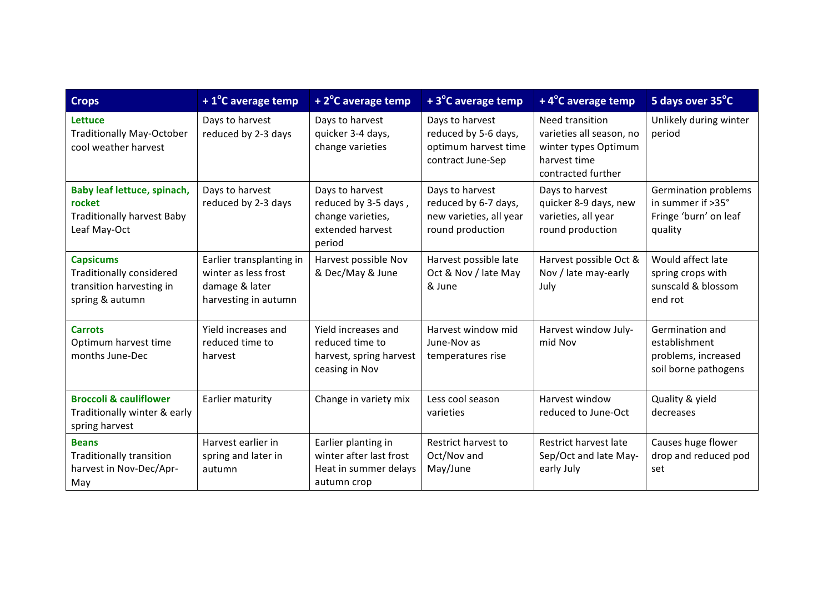| <b>Crops</b>                                                                                       | $+1^{\circ}$ C average temp                                                                | +2°C average temp                                                                          | +3°C average temp                                                                      | +4°C average temp                                                                                         | 5 days over 35°C                                                                |
|----------------------------------------------------------------------------------------------------|--------------------------------------------------------------------------------------------|--------------------------------------------------------------------------------------------|----------------------------------------------------------------------------------------|-----------------------------------------------------------------------------------------------------------|---------------------------------------------------------------------------------|
| <b>Lettuce</b><br><b>Traditionally May-October</b><br>cool weather harvest                         | Days to harvest<br>reduced by 2-3 days                                                     | Days to harvest<br>quicker 3-4 days,<br>change varieties                                   | Days to harvest<br>reduced by 5-6 days,<br>optimum harvest time<br>contract June-Sep   | Need transition<br>varieties all season, no<br>winter types Optimum<br>harvest time<br>contracted further | Unlikely during winter<br>period                                                |
| Baby leaf lettuce, spinach,<br>rocket<br><b>Traditionally harvest Baby</b><br>Leaf May-Oct         | Days to harvest<br>reduced by 2-3 days                                                     | Days to harvest<br>reduced by 3-5 days,<br>change varieties,<br>extended harvest<br>period | Days to harvest<br>reduced by 6-7 days,<br>new varieties, all year<br>round production | Days to harvest<br>quicker 8-9 days, new<br>varieties, all year<br>round production                       | Germination problems<br>in summer if >35°<br>Fringe 'burn' on leaf<br>quality   |
| <b>Capsicums</b><br><b>Traditionally considered</b><br>transition harvesting in<br>spring & autumn | Earlier transplanting in<br>winter as less frost<br>damage & later<br>harvesting in autumn | Harvest possible Nov<br>& Dec/May & June                                                   | Harvest possible late<br>Oct & Nov / late May<br>& June                                | Harvest possible Oct &<br>Nov / late may-early<br>July                                                    | Would affect late<br>spring crops with<br>sunscald & blossom<br>end rot         |
| <b>Carrots</b><br>Optimum harvest time<br>months June-Dec                                          | Yield increases and<br>reduced time to<br>harvest                                          | Yield increases and<br>reduced time to<br>harvest, spring harvest<br>ceasing in Nov        | Harvest window mid<br>June-Nov as<br>temperatures rise                                 | Harvest window July-<br>mid Nov                                                                           | Germination and<br>establishment<br>problems, increased<br>soil borne pathogens |
| <b>Broccoli &amp; cauliflower</b><br>Traditionally winter & early<br>spring harvest                | Earlier maturity                                                                           | Change in variety mix                                                                      | Less cool season<br>varieties                                                          | Harvest window<br>reduced to June-Oct                                                                     | Quality & yield<br>decreases                                                    |
| <b>Beans</b><br>Traditionally transition<br>harvest in Nov-Dec/Apr-<br>May                         | Harvest earlier in<br>spring and later in<br>autumn                                        | Earlier planting in<br>winter after last frost<br>Heat in summer delays<br>autumn crop     | <b>Restrict harvest to</b><br>Oct/Nov and<br>May/June                                  | Restrict harvest late<br>Sep/Oct and late May-<br>early July                                              | Causes huge flower<br>drop and reduced pod<br>set                               |